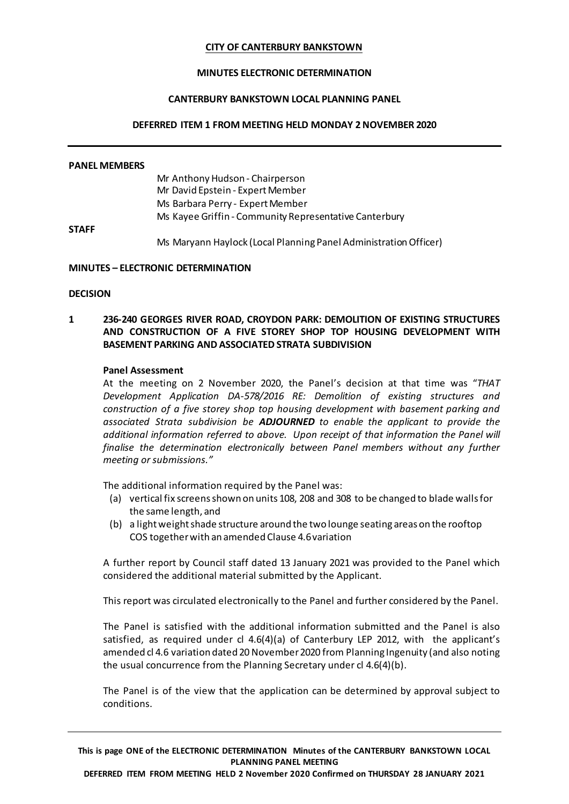# **CITY OF CANTERBURY BANKSTOWN**

### **MINUTES ELECTRONIC DETERMINATION**

# **CANTERBURY BANKSTOWN LOCAL PLANNING PANEL**

# **DEFERRED ITEM 1 FROM MEETING HELD MONDAY 2 NOVEMBER 2020**

#### **PANEL MEMBERS**

Mr Anthony Hudson - Chairperson Mr David Epstein - Expert Member Ms Barbara Perry - Expert Member Ms Kayee Griffin - Community Representative Canterbury

**STAFF**

Ms Maryann Haylock (Local Planning Panel Administration Officer)

### **MINUTES – ELECTRONIC DETERMINATION**

# **DECISION**

**1 236-240 GEORGES RIVER ROAD, CROYDON PARK: DEMOLITION OF EXISTING STRUCTURES AND CONSTRUCTION OF A FIVE STOREY SHOP TOP HOUSING DEVELOPMENT WITH BASEMENT PARKING AND ASSOCIATED STRATA SUBDIVISION**

#### **Panel Assessment**

At the meeting on 2 November 2020, the Panel's decision at that time was "*THAT Development Application DA-578/2016 RE: Demolition of existing structures and construction of a five storey shop top housing development with basement parking and associated Strata subdivision be ADJOURNED to enable the applicant to provide the additional information referred to above. Upon receipt of that information the Panel will finalise the determination electronically between Panel members without any further meeting or submissions."*

The additional information required by the Panel was:

- (a) vertical fix screens shown on units 108, 208 and 308 to be changed to blade walls for the same length, and
- (b) a light weight shade structure around the two lounge seating areas on the rooftop COS together with an amended Clause 4.6 variation

A further report by Council staff dated 13 January 2021 was provided to the Panel which considered the additional material submitted by the Applicant.

This report was circulated electronically to the Panel and further considered by the Panel.

The Panel is satisfied with the additional information submitted and the Panel is also satisfied, as required under cl 4.6(4)(a) of Canterbury LEP 2012, with the applicant's amended cl 4.6 variation dated 20 November 2020 from Planning Ingenuity (and also noting the usual concurrence from the Planning Secretary under cl 4.6(4)(b).

The Panel is of the view that the application can be determined by approval subject to conditions.

**This is page ONE of the ELECTRONIC DETERMINATION Minutes of the CANTERBURY BANKSTOWN LOCAL PLANNING PANEL MEETING**

**DEFERRED ITEM FROM MEETING HELD 2 November 2020 Confirmed on THURSDAY 28 JANUARY 2021**